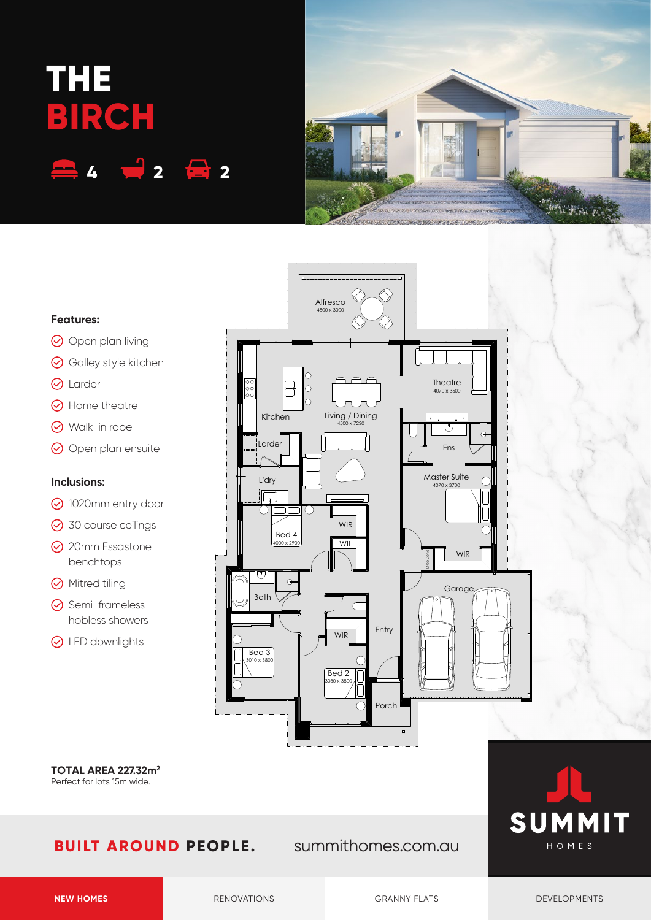## **THE BIRCH 4 2 2**



#### **Features:**

- O Open plan living
- **⊙** Galley style kitchen
- **Q** Larder
- **⊙** Home theatre
- Walk-in robe
- O Open plan ensuite

#### **Inclusions:**

- 1020mm entry door
- **⊙** 30 course ceilings
- **⊘** 20mm Essastone benchtops
- **Mitred tiling**
- $\odot$  Semi-frameless hobless showers
- **⊙** LED downlights



**TOTAL AREA 227.32m2** Perfect for lots 15m wide.

### **BUILT AROUND PEOPLE.** summithomes.com.au



**NEW HOMES** RENOVATIONS RENOVATIONS GRANNY FLATS DEVELOPMENTS